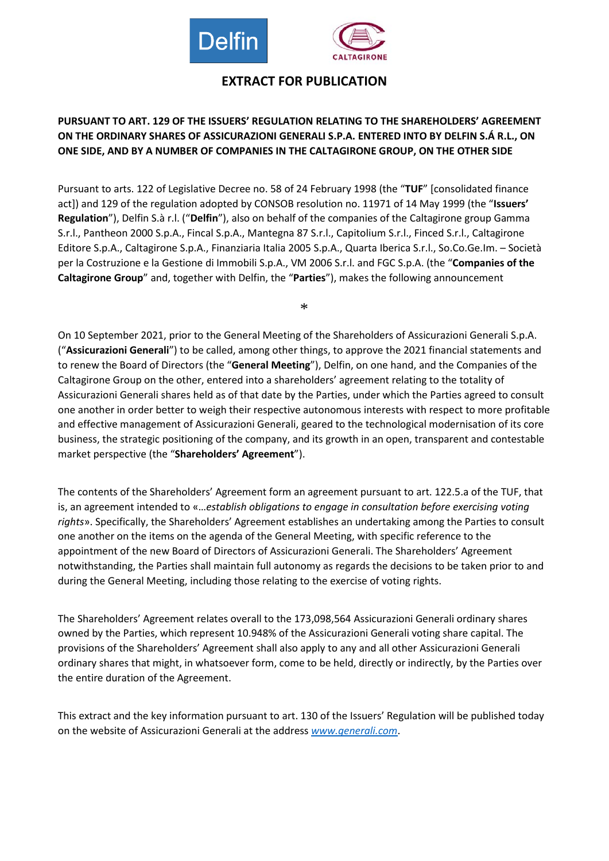

# **EXTRACT FOR PUBLICATION**

### **PURSUANT TO ART. 129 OF THE ISSUERS' REGULATION RELATING TO THE SHAREHOLDERS' AGREEMENT ON THE ORDINARY SHARES OF ASSICURAZIONI GENERALI S.P.A. ENTERED INTO BY DELFIN S.Á R.L., ON ONE SIDE, AND BY A NUMBER OF COMPANIES IN THE CALTAGIRONE GROUP, ON THE OTHER SIDE**

Pursuant to arts. 122 of Legislative Decree no. 58 of 24 February 1998 (the "**TUF**" [consolidated finance act]) and 129 of the regulation adopted by CONSOB resolution no. 11971 of 14 May 1999 (the "**Issuers' Regulation**"), Delfin S.à r.l. ("**Delfin**"), also on behalf of the companies of the Caltagirone group Gamma S.r.l., Pantheon 2000 S.p.A., Fincal S.p.A., Mantegna 87 S.r.l., Capitolium S.r.l., Finced S.r.l., Caltagirone Editore S.p.A., Caltagirone S.p.A., Finanziaria Italia 2005 S.p.A., Quarta Iberica S.r.l., So.Co.Ge.Im. – Società per la Costruzione e la Gestione di Immobili S.p.A., VM 2006 S.r.l. and FGC S.p.A. (the "**Companies of the Caltagirone Group**" and, together with Delfin, the "**Parties**"), makes the following announcement

\*

On 10 September 2021, prior to the General Meeting of the Shareholders of Assicurazioni Generali S.p.A. ("**Assicurazioni Generali**") to be called, among other things, to approve the 2021 financial statements and to renew the Board of Directors (the "**General Meeting**"), Delfin, on one hand, and the Companies of the Caltagirone Group on the other, entered into a shareholders' agreement relating to the totality of Assicurazioni Generali shares held as of that date by the Parties, under which the Parties agreed to consult one another in order better to weigh their respective autonomous interests with respect to more profitable and effective management of Assicurazioni Generali, geared to the technological modernisation of its core business, the strategic positioning of the company, and its growth in an open, transparent and contestable market perspective (the "**Shareholders' Agreement**").

The contents of the Shareholders' Agreement form an agreement pursuant to art. 122.5.a of the TUF, that is, an agreement intended to «…*establish obligations to engage in consultation before exercising voting rights*». Specifically, the Shareholders' Agreement establishes an undertaking among the Parties to consult one another on the items on the agenda of the General Meeting, with specific reference to the appointment of the new Board of Directors of Assicurazioni Generali. The Shareholders' Agreement notwithstanding, the Parties shall maintain full autonomy as regards the decisions to be taken prior to and during the General Meeting, including those relating to the exercise of voting rights.

The Shareholders' Agreement relates overall to the 173,098,564 Assicurazioni Generali ordinary shares owned by the Parties, which represent 10.948% of the Assicurazioni Generali voting share capital. The provisions of the Shareholders' Agreement shall also apply to any and all other Assicurazioni Generali ordinary shares that might, in whatsoever form, come to be held, directly or indirectly, by the Parties over the entire duration of the Agreement.

This extract and the key information pursuant to art. 130 of the Issuers' Regulation will be published today on the website of Assicurazioni Generali at the address *[www.generali.com](http://www.generali.com/)*.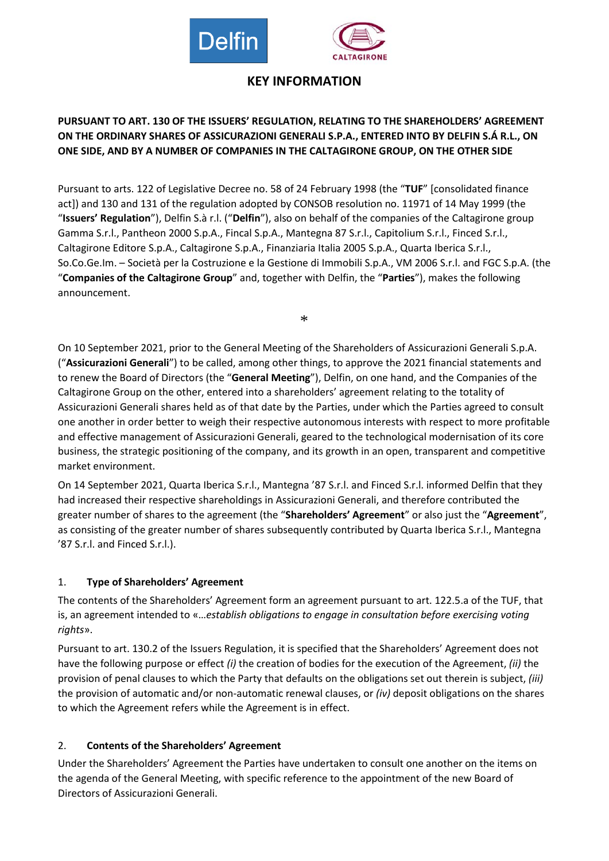

# **KEY INFORMATION**

## **PURSUANT TO ART. 130 OF THE ISSUERS' REGULATION, RELATING TO THE SHAREHOLDERS' AGREEMENT ON THE ORDINARY SHARES OF ASSICURAZIONI GENERALI S.P.A., ENTERED INTO BY DELFIN S.Á R.L., ON ONE SIDE, AND BY A NUMBER OF COMPANIES IN THE CALTAGIRONE GROUP, ON THE OTHER SIDE**

Pursuant to arts. 122 of Legislative Decree no. 58 of 24 February 1998 (the "**TUF**" [consolidated finance act]) and 130 and 131 of the regulation adopted by CONSOB resolution no. 11971 of 14 May 1999 (the "**Issuers' Regulation**"), Delfin S.à r.l. ("**Delfin**"), also on behalf of the companies of the Caltagirone group Gamma S.r.l., Pantheon 2000 S.p.A., Fincal S.p.A., Mantegna 87 S.r.l., Capitolium S.r.l., Finced S.r.l., Caltagirone Editore S.p.A., Caltagirone S.p.A., Finanziaria Italia 2005 S.p.A., Quarta Iberica S.r.l., So.Co.Ge.Im. – Società per la Costruzione e la Gestione di Immobili S.p.A., VM 2006 S.r.l. and FGC S.p.A. (the "**Companies of the Caltagirone Group**" and, together with Delfin, the "**Parties**"), makes the following announcement.

\*

On 10 September 2021, prior to the General Meeting of the Shareholders of Assicurazioni Generali S.p.A. ("**Assicurazioni Generali**") to be called, among other things, to approve the 2021 financial statements and to renew the Board of Directors (the "**General Meeting**"), Delfin, on one hand, and the Companies of the Caltagirone Group on the other, entered into a shareholders' agreement relating to the totality of Assicurazioni Generali shares held as of that date by the Parties, under which the Parties agreed to consult one another in order better to weigh their respective autonomous interests with respect to more profitable and effective management of Assicurazioni Generali, geared to the technological modernisation of its core business, the strategic positioning of the company, and its growth in an open, transparent and competitive market environment.

On 14 September 2021, Quarta Iberica S.r.l., Mantegna '87 S.r.l. and Finced S.r.l. informed Delfin that they had increased their respective shareholdings in Assicurazioni Generali, and therefore contributed the greater number of shares to the agreement (the "**Shareholders' Agreement**" or also just the "**Agreement**", as consisting of the greater number of shares subsequently contributed by Quarta Iberica S.r.l., Mantegna '87 S.r.l. and Finced S.r.l.).

#### 1. **Type of Shareholders' Agreement**

The contents of the Shareholders' Agreement form an agreement pursuant to art. 122.5.a of the TUF, that is, an agreement intended to «…*establish obligations to engage in consultation before exercising voting rights*».

Pursuant to art. 130.2 of the Issuers Regulation, it is specified that the Shareholders' Agreement does not have the following purpose or effect *(i)* the creation of bodies for the execution of the Agreement, *(ii)* the provision of penal clauses to which the Party that defaults on the obligations set out therein is subject, *(iii)* the provision of automatic and/or non-automatic renewal clauses, or *(iv)* deposit obligations on the shares to which the Agreement refers while the Agreement is in effect.

## 2. **Contents of the Shareholders' Agreement**

Under the Shareholders' Agreement the Parties have undertaken to consult one another on the items on the agenda of the General Meeting, with specific reference to the appointment of the new Board of Directors of Assicurazioni Generali.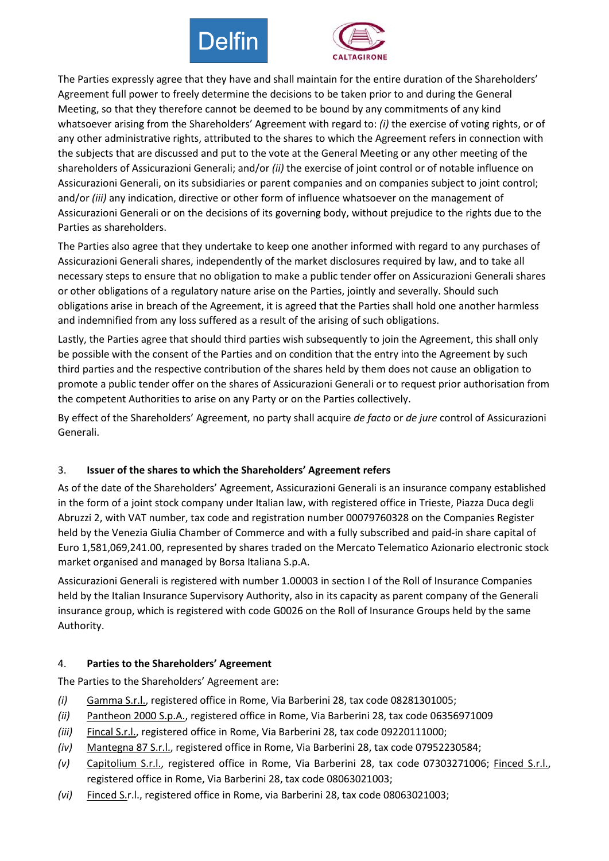



The Parties expressly agree that they have and shall maintain for the entire duration of the Shareholders' Agreement full power to freely determine the decisions to be taken prior to and during the General Meeting, so that they therefore cannot be deemed to be bound by any commitments of any kind whatsoever arising from the Shareholders' Agreement with regard to: *(i)* the exercise of voting rights, or of any other administrative rights, attributed to the shares to which the Agreement refers in connection with the subjects that are discussed and put to the vote at the General Meeting or any other meeting of the shareholders of Assicurazioni Generali; and/or *(ii)* the exercise of joint control or of notable influence on Assicurazioni Generali, on its subsidiaries or parent companies and on companies subject to joint control; and/or *(iii)* any indication, directive or other form of influence whatsoever on the management of Assicurazioni Generali or on the decisions of its governing body, without prejudice to the rights due to the Parties as shareholders.

The Parties also agree that they undertake to keep one another informed with regard to any purchases of Assicurazioni Generali shares, independently of the market disclosures required by law, and to take all necessary steps to ensure that no obligation to make a public tender offer on Assicurazioni Generali shares or other obligations of a regulatory nature arise on the Parties, jointly and severally. Should such obligations arise in breach of the Agreement, it is agreed that the Parties shall hold one another harmless and indemnified from any loss suffered as a result of the arising of such obligations.

Lastly, the Parties agree that should third parties wish subsequently to join the Agreement, this shall only be possible with the consent of the Parties and on condition that the entry into the Agreement by such third parties and the respective contribution of the shares held by them does not cause an obligation to promote a public tender offer on the shares of Assicurazioni Generali or to request prior authorisation from the competent Authorities to arise on any Party or on the Parties collectively.

By effect of the Shareholders' Agreement, no party shall acquire *de facto* or *de jure* control of Assicurazioni Generali.

## 3. **Issuer of the shares to which the Shareholders' Agreement refers**

As of the date of the Shareholders' Agreement, Assicurazioni Generali is an insurance company established in the form of a joint stock company under Italian law, with registered office in Trieste, Piazza Duca degli Abruzzi 2, with VAT number, tax code and registration number 00079760328 on the Companies Register held by the Venezia Giulia Chamber of Commerce and with a fully subscribed and paid-in share capital of Euro 1,581,069,241.00, represented by shares traded on the Mercato Telematico Azionario electronic stock market organised and managed by Borsa Italiana S.p.A.

Assicurazioni Generali is registered with number 1.00003 in section I of the Roll of Insurance Companies held by the Italian Insurance Supervisory Authority, also in its capacity as parent company of the Generali insurance group, which is registered with code G0026 on the Roll of Insurance Groups held by the same Authority.

#### 4. **Parties to the Shareholders' Agreement**

The Parties to the Shareholders' Agreement are:

- *(i)* Gamma S.r.l., registered office in Rome, Via Barberini 28, tax code 08281301005;
- *(ii)* Pantheon 2000 S.p.A., registered office in Rome, Via Barberini 28, tax code 06356971009
- *(iii)* Fincal S.r.l., registered office in Rome, Via Barberini 28, tax code 09220111000;
- *(iv)* Mantegna 87 S.r.l., registered office in Rome, Via Barberini 28, tax code 07952230584;
- *(v)* Capitolium S.r.l., registered office in Rome, Via Barberini 28, tax code 07303271006; Finced S.r.l., registered office in Rome, Via Barberini 28, tax code 08063021003;
- *(vi)* Finced S.r.l., registered office in Rome, via Barberini 28, tax code 08063021003;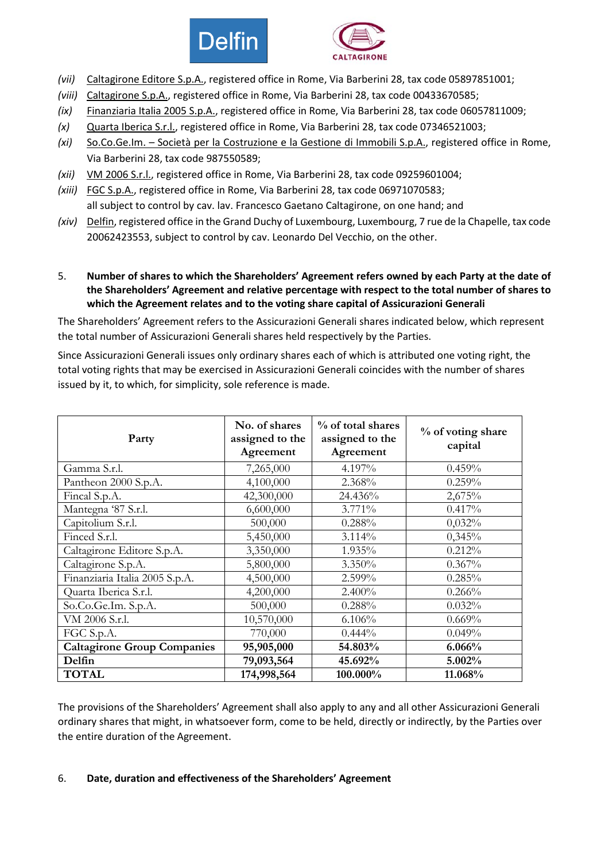



- *(vii)* Caltagirone Editore S.p.A., registered office in Rome, Via Barberini 28, tax code 05897851001;
- *(viii)* Caltagirone S.p.A., registered office in Rome, Via Barberini 28, tax code 00433670585;
- *(ix)* Finanziaria Italia 2005 S.p.A., registered office in Rome, Via Barberini 28, tax code 06057811009;
- *(x)* Quarta Iberica S.r.l., registered office in Rome, Via Barberini 28, tax code 07346521003;
- *(xi)* So.Co.Ge.Im. Società per la Costruzione e la Gestione di Immobili S.p.A., registered office in Rome, Via Barberini 28, tax code 987550589;
- *(xii)* VM 2006 S.r.l., registered office in Rome, Via Barberini 28, tax code 09259601004;
- *(xiii)* FGC S.p.A., registered office in Rome, Via Barberini 28, tax code 06971070583; all subject to control by cav. lav. Francesco Gaetano Caltagirone, on one hand; and
- *(xiv)* Delfin, registered office in the Grand Duchy of Luxembourg, Luxembourg, 7 rue de la Chapelle, tax code 20062423553, subject to control by cav. Leonardo Del Vecchio, on the other.
- 5. **Number of shares to which the Shareholders' Agreement refers owned by each Party at the date of the Shareholders' Agreement and relative percentage with respect to the total number of shares to which the Agreement relates and to the voting share capital of Assicurazioni Generali**

The Shareholders' Agreement refers to the Assicurazioni Generali shares indicated below, which represent the total number of Assicurazioni Generali shares held respectively by the Parties.

Since Assicurazioni Generali issues only ordinary shares each of which is attributed one voting right, the total voting rights that may be exercised in Assicurazioni Generali coincides with the number of shares issued by it, to which, for simplicity, sole reference is made.

| Party                              | No. of shares<br>assigned to the<br>Agreement | % of total shares<br>assigned to the<br>Agreement | % of voting share<br>capital |
|------------------------------------|-----------------------------------------------|---------------------------------------------------|------------------------------|
| Gamma S.r.l.                       | 7,265,000                                     | 4.197%                                            | 0.459%                       |
| Pantheon 2000 S.p.A.               | 4,100,000                                     | 2.368%                                            | 0.259%                       |
| Fincal S.p.A.                      | 42,300,000                                    | 24.436%                                           | 2,675%                       |
| Mantegna '87 S.r.l.                | 6,600,000                                     | 3.771%                                            | 0.417%                       |
| Capitolium S.r.l.                  | 500,000                                       | 0.288%                                            | 0,032%                       |
| Finced S.r.l.                      | 5,450,000                                     | 3.114%                                            | 0,345%                       |
| Caltagirone Editore S.p.A.         | 3,350,000                                     | 1.935%                                            | 0.212%                       |
| Caltagirone S.p.A.                 | 5,800,000                                     | 3.350%                                            | 0.367%                       |
| Finanziaria Italia 2005 S.p.A.     | 4,500,000                                     | 2.599%                                            | 0.285%                       |
| Quarta Iberica S.r.l.              | 4,200,000                                     | 2.400%                                            | 0.266%                       |
| So.Co.Ge.Im. S.p.A.                | 500,000                                       | 0.288%                                            | 0.032%                       |
| VM 2006 S.r.l.                     | 10,570,000                                    | 6.106%                                            | 0.669%                       |
| FGC S.p.A.                         | 770,000                                       | $0.444\%$                                         | 0.049%                       |
| <b>Caltagirone Group Companies</b> | 95,905,000                                    | 54.803%                                           | 6.066%                       |
| Delfin                             | 79,093,564                                    | 45.692%                                           | 5.002%                       |
| <b>TOTAL</b>                       | 174,998,564                                   | 100.000%                                          | 11.068%                      |

The provisions of the Shareholders' Agreement shall also apply to any and all other Assicurazioni Generali ordinary shares that might, in whatsoever form, come to be held, directly or indirectly, by the Parties over the entire duration of the Agreement.

## 6. **Date, duration and effectiveness of the Shareholders' Agreement**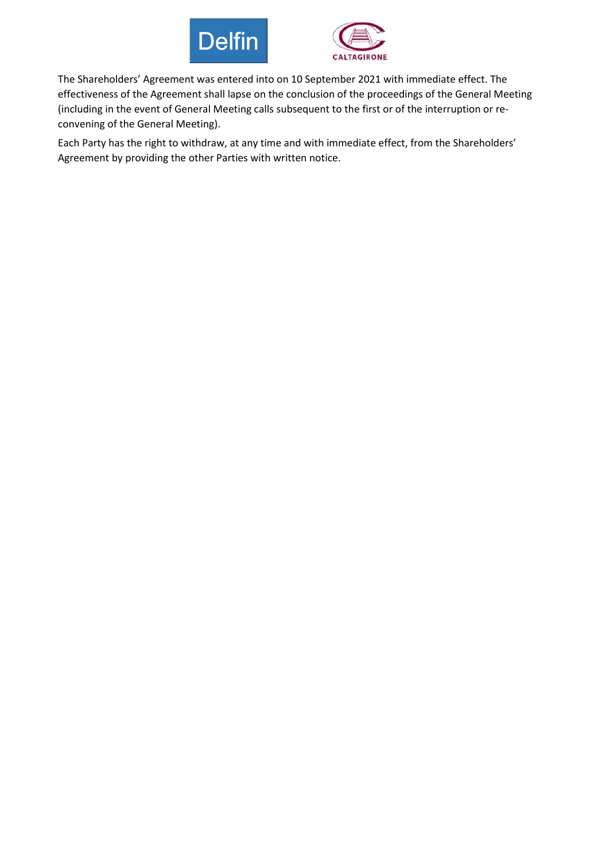



The Shareholders' Agreement was entered into on 10 September 2021 with immediate effect. The effectiveness of the Agreement shall lapse on the conclusion of the proceedings of the General Meeting (including in the event of General Meeting calls subsequent to the first or of the interruption or reconvening of the General Meeting).

Each Party has the right to withdraw, at any time and with immediate effect, from the Shareholders' Agreement by providing the other Parties with written notice.